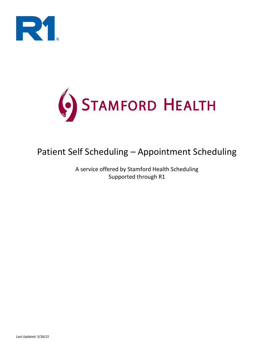



# Patient Self Scheduling – Appointment Scheduling

A service offered by Stamford Health Scheduling Supported through R1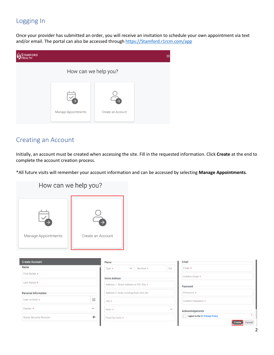### Logging In

Once your provider has submitted an order, you will receive an invitation to schedule your own appointment via text and/or email. The portal can also be accessed through [https://Stamford.r1rcm.com/app](https://stamford.r1rcm.com/app)

| <b>AMFORD</b><br>:ALTH |                      |                   |  |
|------------------------|----------------------|-------------------|--|
|                        | How can we help you? |                   |  |
|                        |                      |                   |  |
|                        | Manage Appointments  | Create an Account |  |

#### Creating an Account

Initially, an account must be created when accessing the site. Fill in the requested information. Click **Create** at the end to complete the account creation process.

\*All future visits will remember your account information and can be accessed by selecting **Manage Appointments**.

| How can we help you?          |                                                               |                                              |              |                                                  |
|-------------------------------|---------------------------------------------------------------|----------------------------------------------|--------------|--------------------------------------------------|
| Manage Appointments           |                                                               | Create an Account                            |              |                                                  |
| <b>Create Account</b>         |                                                               | Phone                                        |              | Email                                            |
| <b>Name</b>                   |                                                               | Number *<br>$Type *$<br>$\checkmark$         | Ext          | Email *                                          |
| First Name *                  |                                                               | <b>Home Address</b>                          |              | Confirm Email *                                  |
| Last Name *                   |                                                               | Address 1: Street address or P.O. Box *      |              | Password                                         |
| <b>Personal Information</b>   |                                                               | Address 2: Suite, building floor, unit, etc. |              | Password *                                       |
| Date of Birth *               | $\mathop{\boxplus}\limits^{\scriptscriptstyle\longleftarrow}$ | $City *$                                     |              | Confirm Password *                               |
| Gender *                      | $\checkmark$                                                  | State *                                      | $\checkmark$ | Acknowledgements                                 |
| <b>Social Security Number</b> | Ø                                                             | Post/Zip Code *                              |              | $\mathbf{r}$<br>I agree to the R1 Privacy Policy |
|                               |                                                               |                                              |              | Create<br>Cancel                                 |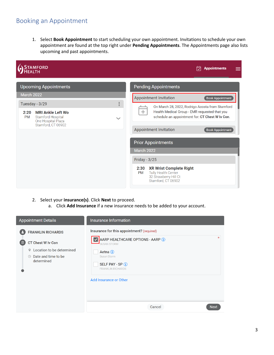#### Booking an Appointment

1. Select **Book Appointment** to start scheduling your own appointment. Invitations to schedule your own appointment are found at the top right under **Pending Appointments**. The Appointments page also lists upcoming and past appointments.



- 2. Select your **insurance(s)**. Click **Next** to proceed.
	- a. Click **Add Insurance** if a new insurance needs to be added to your account.

| <b>Appointment Details</b>                                                                                              | Insurance Information                                                                                                                      |
|-------------------------------------------------------------------------------------------------------------------------|--------------------------------------------------------------------------------------------------------------------------------------------|
| <b>FRANKLIN RICHARDS</b>                                                                                                | Insurance for this appointment? (required)                                                                                                 |
| CT Chest W Iv Con<br>( ା<br>Location to be determined<br>$\circ$<br>Date and time to be<br>$(\mathbb{Q})$<br>determined | 业<br>AARP HEALTHCARE OPTIONS - AARP 1<br><b>SUSAN STORM</b><br>Aetna $(i)$<br>Susan Storm<br>SELF PAY - SP (1)<br><b>FRANKLIN RICHARDS</b> |
|                                                                                                                         | Add Insurance or Other<br>Cancel<br><b>Next</b>                                                                                            |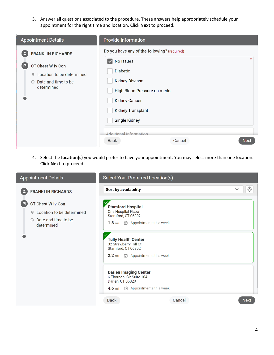3. Answer all questions associated to the procedure. These answers help appropriately schedule your appointment for the right time and location. Click **Next** to proceed.

| <b>Appointment Details</b>                                                                                                                       | <b>Provide Information</b>                                                                                                                                                                                                                                                                                    |  |
|--------------------------------------------------------------------------------------------------------------------------------------------------|---------------------------------------------------------------------------------------------------------------------------------------------------------------------------------------------------------------------------------------------------------------------------------------------------------------|--|
| <b>FRANKLIN RICHARDS</b><br><b>CT Chest W Iv Con</b><br>⊡<br>Location to be determined<br>9.<br>Date and time to be<br>$\circledR$<br>determined | Do you have any of the following? (required)<br>No Issues<br>$\overline{\mathsf{v}}$<br><b>Diabetic</b><br><b>Kidney Disease</b><br>High Blood Pressure on meds<br><b>Kidney Cancer</b><br><b>Kidney Transplant</b><br><b>Single Kidney</b><br>Additional Information<br>Cancel<br><b>Back</b><br><b>Next</b> |  |

4. Select the **location(s)** you would prefer to have your appointment. You may select more than one location. Click **Next** to proceed.

| <b>Appointment Details</b>                                                                                                                                                       | Select Your Preferred Location(s)                                                                                 |                       |
|----------------------------------------------------------------------------------------------------------------------------------------------------------------------------------|-------------------------------------------------------------------------------------------------------------------|-----------------------|
| <b>FRANKLIN RICHARDS</b>                                                                                                                                                         | Sort by availability                                                                                              | $\checkmark$<br>-(O)  |
| <b>CT Chest W Iv Con</b><br>Location to be determined<br>9<br>Date and time to be<br>$\left(\begin{smallmatrix} \downarrow \\ \downarrow \end{smallmatrix}\right)$<br>determined | <b>Stamford Hospital</b><br>One Hospital Plaza<br>Stamford, CT 06902<br>1.8 mi   岗 Appointments this week         |                       |
|                                                                                                                                                                                  | <b>Tully Health Center</b><br>32 Strawberry Hill Ct<br>Stamford, CT 06902<br>2.2 mi   岗 Appointments this week    |                       |
|                                                                                                                                                                                  | <b>Darien Imaging Center</b><br>6 Thorndal Cir Suite 104<br>Darien, CT 06820<br>4.6 mi   岗 Appointments this week |                       |
|                                                                                                                                                                                  | <b>Back</b>                                                                                                       | Cancel<br><b>Next</b> |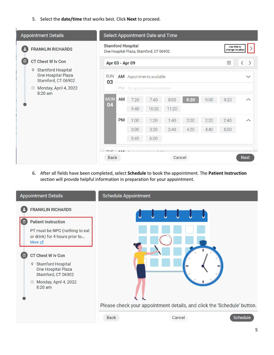5. Select the **date/time** that works best. Click **Next** to proceed.

| <b>Appointment Details</b>                                                |                                                                    |                |      | <b>Select Appointment Date and Time</b> |        |                                |                                                         |      |                    |
|---------------------------------------------------------------------------|--------------------------------------------------------------------|----------------|------|-----------------------------------------|--------|--------------------------------|---------------------------------------------------------|------|--------------------|
| Ρ<br><b>FRANKLIN RICHARDS</b>                                             | <b>Stamford Hospital</b><br>One Hospital Plaza, Stamford, CT 06902 |                |      |                                         |        | Use this to<br>change location |                                                         |      |                    |
| 7<br><b>CT Chest W Iv Con</b>                                             | Apr 03 - Apr 09                                                    |                |      |                                         |        |                                | $\boxplus$<br>$\langle$<br>$\left\langle \right\rangle$ |      |                    |
| <b>Stamford Hospital</b><br>9<br>One Hospital Plaza<br>Stamford, CT 06902 | <b>SUN</b>                                                         |                |      | <b>AM</b> Appointments available        |        |                                |                                                         |      | $\checkmark$       |
| Monday, April 4, 2022<br>$\circledcirc$<br>8:20 am                        |                                                                    | <b>PM</b>      |      | No appointments available               |        |                                |                                                         |      |                    |
|                                                                           |                                                                    | AM             | 7:20 | 7:40                                    | 8:00   | 8:20                           | 9:00                                                    | 9:20 | $\curvearrowright$ |
|                                                                           |                                                                    |                | 9:40 | 10:20                                   | 11:20  |                                |                                                         |      |                    |
|                                                                           |                                                                    | <b>PM</b>      | 1:00 | 1:20                                    | 1:40   | 2:00                           | 2:20                                                    | 2:40 | $\curvearrowright$ |
|                                                                           | 03<br><b>MON</b><br>04<br><b>THE</b><br><b>Back</b>                |                | 3:00 | 3:20                                    | 3:40   | 4:20                           | 4:40                                                    | 5:00 |                    |
|                                                                           |                                                                    |                | 5:40 | 6:00                                    |        |                                |                                                         |      |                    |
|                                                                           |                                                                    | A <sub>R</sub> |      |                                         |        |                                |                                                         |      |                    |
|                                                                           |                                                                    |                |      |                                         | Cancel |                                |                                                         |      | <b>Next</b>        |

6. After all fields have been completed, select **Schedule** to book the appointment. The **Patient Instruction**  section will provide helpful information in preparation for your appointment.